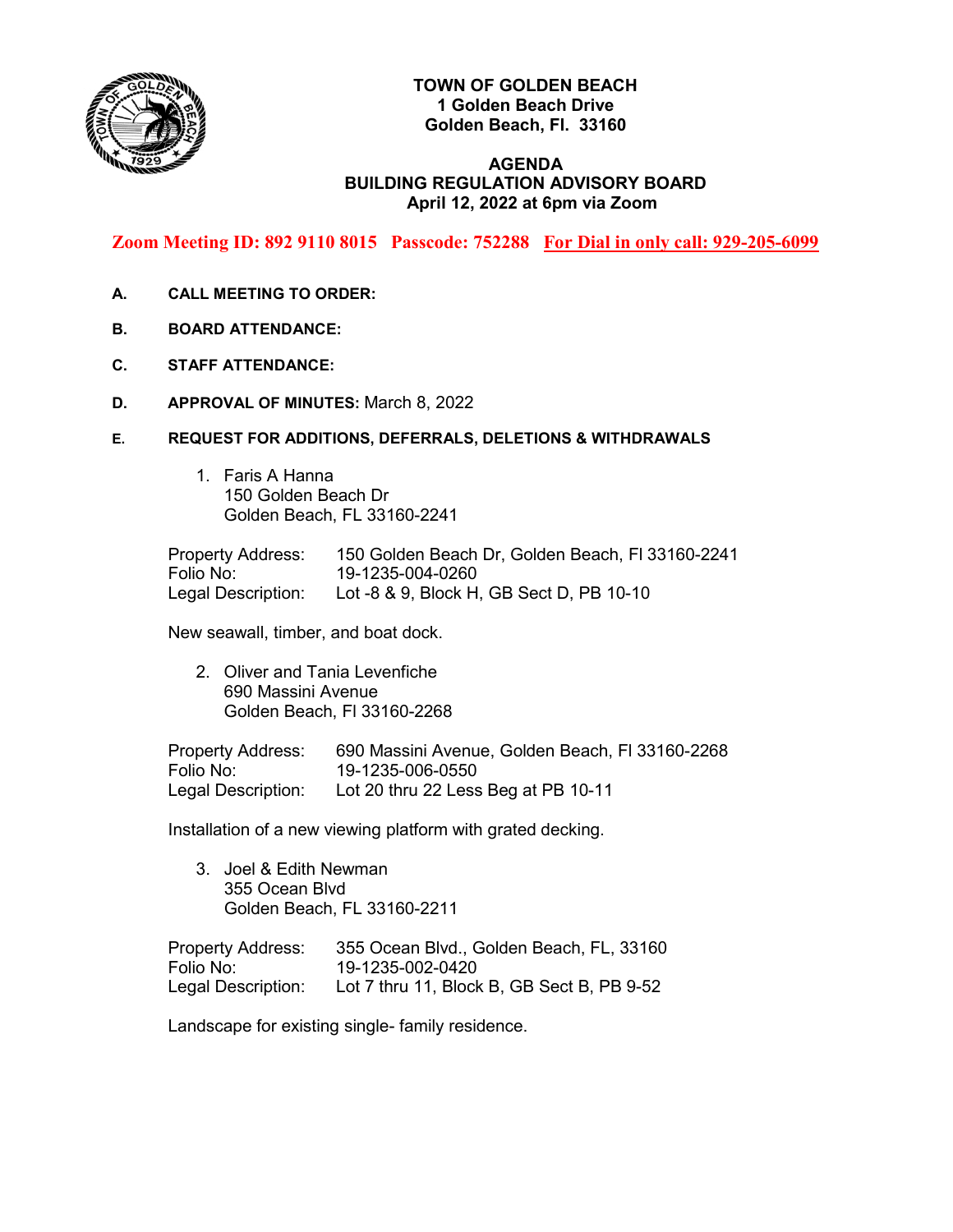

# **TOWN OF GOLDEN BEACH 1 Golden Beach Drive Golden Beach, Fl. 33160**

## **AGENDA BUILDING REGULATION ADVISORY BOARD April 12, 2022 at 6pm via Zoom**

**Zoom Meeting ID: 892 9110 8015 Passcode: 752288 For Dial in only call: 929-205-6099**

- **A. CALL MEETING TO ORDER:**
- **B. BOARD ATTENDANCE:**
- **C. STAFF ATTENDANCE:**
- **D. APPROVAL OF MINUTES:** March 8, 2022
- **E. REQUEST FOR ADDITIONS, DEFERRALS, DELETIONS & WITHDRAWALS**
	- 1. Faris A Hanna 150 Golden Beach Dr Golden Beach, FL 33160-2241

Property Address: 150 Golden Beach Dr, Golden Beach, Fl 33160-2241 Folio No: 19-1235-004-0260 Legal Description: Lot -8 & 9, Block H, GB Sect D, PB 10-10

New seawall, timber, and boat dock.

2. Oliver and Tania Levenfiche 690 Massini Avenue Golden Beach, Fl 33160-2268

Property Address: 690 Massini Avenue, Golden Beach, Fl 33160-2268 Folio No: 19-1235-006-0550 Legal Description: Lot 20 thru 22 Less Beg at PB 10-11

Installation of a new viewing platform with grated decking.

3. Joel & Edith Newman 355 Ocean Blvd Golden Beach, FL 33160-2211

Property Address: 355 Ocean Blvd., Golden Beach, FL, 33160 Folio No: 19-1235-002-0420 Legal Description: Lot 7 thru 11, Block B, GB Sect B, PB 9-52

Landscape for existing single- family residence.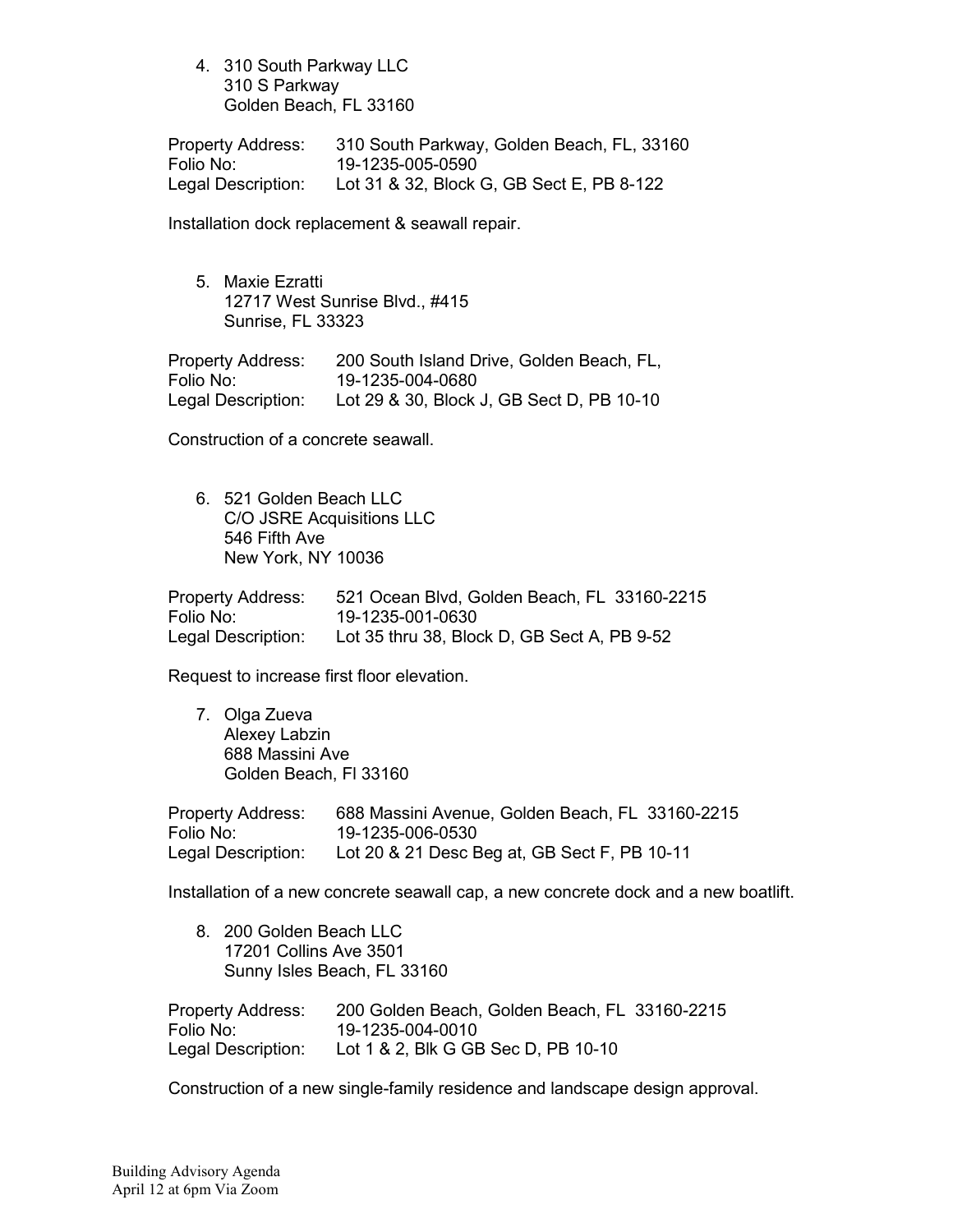4. 310 South Parkway LLC 310 S Parkway Golden Beach, FL 33160

Property Address: 310 South Parkway, Golden Beach, FL, 33160 Folio No: 19-1235-005-0590 Legal Description: Lot 31 & 32, Block G, GB Sect E, PB 8-122

Installation dock replacement & seawall repair.

5. Maxie Ezratti 12717 West Sunrise Blvd., #415 Sunrise, FL 33323

Property Address: 200 South Island Drive, Golden Beach, FL,<br>Folio No: 19-1235-004-0680 Folio No: 19-1235-004-0680 Legal Description: Lot 29 & 30, Block J, GB Sect D, PB 10-10

Construction of a concrete seawall.

6. 521 Golden Beach LLC C/O JSRE Acquisitions LLC 546 Fifth Ave New York, NY 10036

| <b>Property Address:</b> | 521 Ocean Blvd, Golden Beach, FL 33160-2215 |
|--------------------------|---------------------------------------------|
| Folio No:                | 19-1235-001-0630                            |
| Legal Description:       | Lot 35 thru 38, Block D, GB Sect A, PB 9-52 |

Request to increase first floor elevation.

7. Olga Zueva Alexey Labzin 688 Massini Ave Golden Beach, Fl 33160

| <b>Property Address:</b> | 688 Massini Avenue, Golden Beach, FL 33160-2215 |
|--------------------------|-------------------------------------------------|
| Folio No:                | 19-1235-006-0530                                |
| Legal Description:       | Lot 20 & 21 Desc Beg at, GB Sect F, PB 10-11    |

Installation of a new concrete seawall cap, a new concrete dock and a new boatlift.

| 8. 200 Golden Beach LLC<br>17201 Collins Ave 3501 | Sunny Isles Beach, FL 33160                   |
|---------------------------------------------------|-----------------------------------------------|
| <b>Property Address:</b>                          | 200 Golden Beach, Golden Beach, FL 33160-2215 |
| Folio No:                                         | 19-1235-004-0010                              |
| Legal Description:                                | Lot 1 & 2, Blk G GB Sec D, PB 10-10           |

Construction of a new single-family residence and landscape design approval.